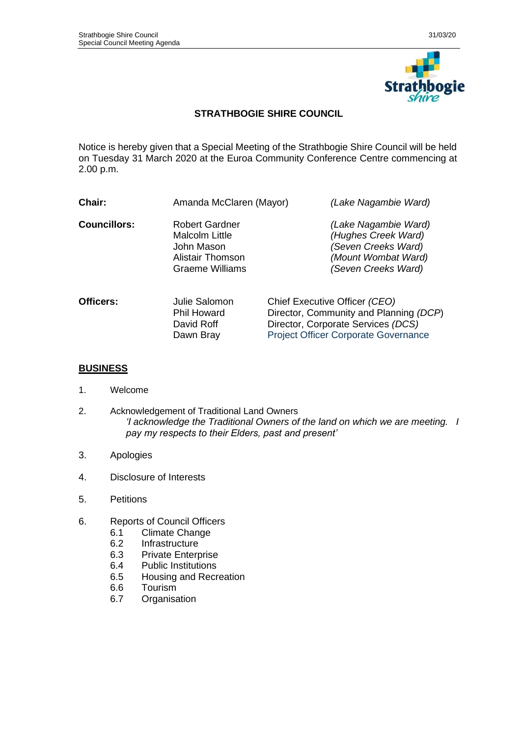

## **STRATHBOGIE SHIRE COUNCIL**

Notice is hereby given that a Special Meeting of the Strathbogie Shire Council will be held on Tuesday 31 March 2020 at the Euroa Community Conference Centre commencing at 2.00 p.m.

| Chair:              | Amanda McClaren (Mayor)                                                                      | (Lake Nagambie Ward)                                                                                                                                         |
|---------------------|----------------------------------------------------------------------------------------------|--------------------------------------------------------------------------------------------------------------------------------------------------------------|
| <b>Councillors:</b> | Robert Gardner<br><b>Malcolm Little</b><br>John Mason<br>Alistair Thomson<br>Graeme Williams | (Lake Nagambie Ward)<br>(Hughes Creek Ward)<br>(Seven Creeks Ward)<br>(Mount Wombat Ward)<br>(Seven Creeks Ward)                                             |
| Officers:           | Julie Salomon<br><b>Phil Howard</b><br>David Roff<br>Dawn Bray                               | Chief Executive Officer (CEO)<br>Director, Community and Planning (DCP)<br>Director, Corporate Services (DCS)<br><b>Project Officer Corporate Governance</b> |

## **BUSINESS**

- 1. Welcome
- 2. Acknowledgement of Traditional Land Owners *'I acknowledge the Traditional Owners of the land on which we are meeting. I pay my respects to their Elders, past and present'*
- 3. Apologies
- 4. Disclosure of Interests
- 5. Petitions
- 6. Reports of Council Officers
	- 6.1 Climate Change
	- 6.2 Infrastructure
	- 6.3 Private Enterprise
	- 6.4 Public Institutions
	- 6.5 Housing and Recreation<br>6.6 Tourism
	- **Tourism**
	- 6.7 Organisation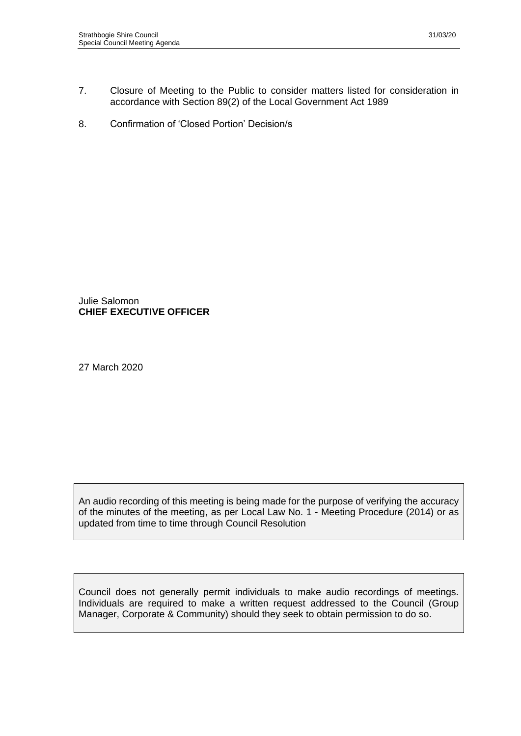- 7. Closure of Meeting to the Public to consider matters listed for consideration in accordance with Section 89(2) of the Local Government Act 1989
- 8. Confirmation of 'Closed Portion' Decision/s

Julie Salomon **CHIEF EXECUTIVE OFFICER**

27 March 2020

An audio recording of this meeting is being made for the purpose of verifying the accuracy of the minutes of the meeting, as per Local Law No. 1 - Meeting Procedure (2014) or as updated from time to time through Council Resolution

Council does not generally permit individuals to make audio recordings of meetings. Individuals are required to make a written request addressed to the Council (Group Manager, Corporate & Community) should they seek to obtain permission to do so.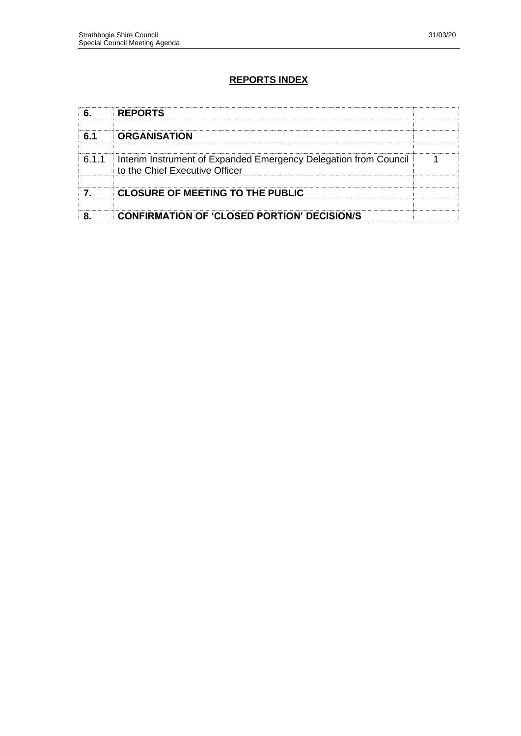# **REPORTS INDEX**

|       | <b>REPORTS</b>                                                                                     |  |
|-------|----------------------------------------------------------------------------------------------------|--|
| ุ 61  | <b>ORGANISATION</b>                                                                                |  |
| 6.1.1 | Interim Instrument of Expanded Emergency Delegation from Council<br>to the Chief Executive Officer |  |
|       | <b>CLOSURE OF MEETING TO THE PUBLIC</b>                                                            |  |
|       | <b>CONFIRMATION OF 'CLOSED PORTION' DECISION/S</b>                                                 |  |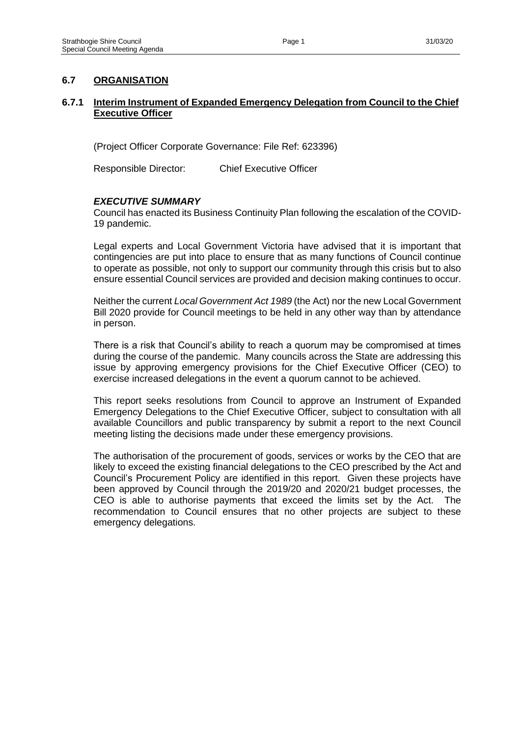## **6.7 ORGANISATION**

## **6.7.1 Interim Instrument of Expanded Emergency Delegation from Council to the Chief Executive Officer**

(Project Officer Corporate Governance: File Ref: 623396)

Responsible Director: Chief Executive Officer

### *EXECUTIVE SUMMARY*

Council has enacted its Business Continuity Plan following the escalation of the COVID-19 pandemic.

Legal experts and Local Government Victoria have advised that it is important that contingencies are put into place to ensure that as many functions of Council continue to operate as possible, not only to support our community through this crisis but to also ensure essential Council services are provided and decision making continues to occur.

Neither the current *Local Government Act 1989* (the Act) nor the new Local Government Bill 2020 provide for Council meetings to be held in any other way than by attendance in person.

There is a risk that Council's ability to reach a quorum may be compromised at times during the course of the pandemic. Many councils across the State are addressing this issue by approving emergency provisions for the Chief Executive Officer (CEO) to exercise increased delegations in the event a quorum cannot to be achieved.

This report seeks resolutions from Council to approve an Instrument of Expanded Emergency Delegations to the Chief Executive Officer, subject to consultation with all available Councillors and public transparency by submit a report to the next Council meeting listing the decisions made under these emergency provisions.

The authorisation of the procurement of goods, services or works by the CEO that are likely to exceed the existing financial delegations to the CEO prescribed by the Act and Council's Procurement Policy are identified in this report. Given these projects have been approved by Council through the 2019/20 and 2020/21 budget processes, the CEO is able to authorise payments that exceed the limits set by the Act. The recommendation to Council ensures that no other projects are subject to these emergency delegations.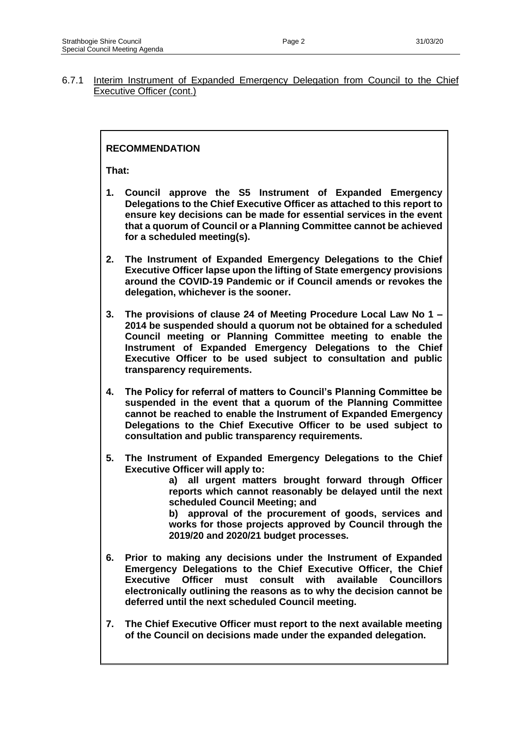## **RECOMMENDATION**

**That:**

- **1. Council approve the S5 Instrument of Expanded Emergency Delegations to the Chief Executive Officer as attached to this report to ensure key decisions can be made for essential services in the event that a quorum of Council or a Planning Committee cannot be achieved for a scheduled meeting(s).**
- **2. The Instrument of Expanded Emergency Delegations to the Chief Executive Officer lapse upon the lifting of State emergency provisions around the COVID-19 Pandemic or if Council amends or revokes the delegation, whichever is the sooner.**
- **3. The provisions of clause 24 of Meeting Procedure Local Law No 1 – 2014 be suspended should a quorum not be obtained for a scheduled Council meeting or Planning Committee meeting to enable the Instrument of Expanded Emergency Delegations to the Chief Executive Officer to be used subject to consultation and public transparency requirements.**
- **4. The Policy for referral of matters to Council's Planning Committee be suspended in the event that a quorum of the Planning Committee cannot be reached to enable the Instrument of Expanded Emergency Delegations to the Chief Executive Officer to be used subject to consultation and public transparency requirements.**
- **5. The Instrument of Expanded Emergency Delegations to the Chief Executive Officer will apply to:**

**a) all urgent matters brought forward through Officer reports which cannot reasonably be delayed until the next scheduled Council Meeting; and**

**b) approval of the procurement of goods, services and works for those projects approved by Council through the 2019/20 and 2020/21 budget processes.**

- **6. Prior to making any decisions under the Instrument of Expanded Emergency Delegations to the Chief Executive Officer, the Chief Executive Officer must consult with available Councillors electronically outlining the reasons as to why the decision cannot be deferred until the next scheduled Council meeting.**
- **7. The Chief Executive Officer must report to the next available meeting of the Council on decisions made under the expanded delegation.**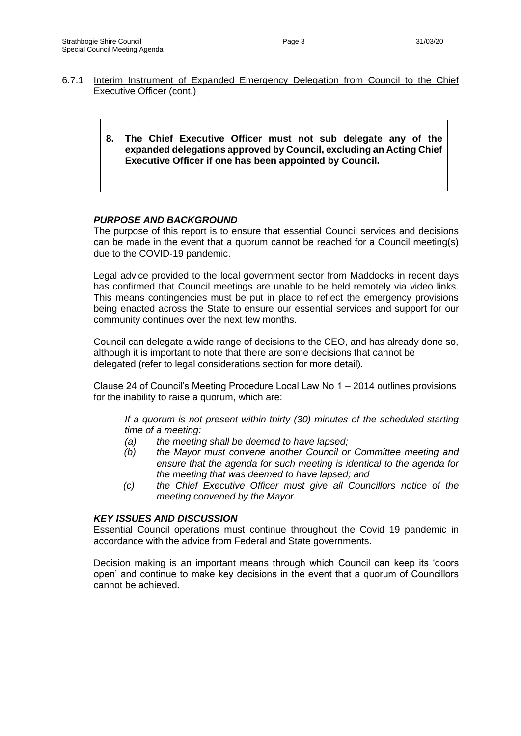- 6.7.1 Interim Instrument of Expanded Emergency Delegation from Council to the Chief Executive Officer (cont.)
	- **8. The Chief Executive Officer must not sub delegate any of the expanded delegations approved by Council, excluding an Acting Chief Executive Officer if one has been appointed by Council.**

### *PURPOSE AND BACKGROUND*

The purpose of this report is to ensure that essential Council services and decisions can be made in the event that a quorum cannot be reached for a Council meeting(s) due to the COVID-19 pandemic.

Legal advice provided to the local government sector from Maddocks in recent days has confirmed that Council meetings are unable to be held remotely via video links. This means contingencies must be put in place to reflect the emergency provisions being enacted across the State to ensure our essential services and support for our community continues over the next few months.

Council can delegate a wide range of decisions to the CEO, and has already done so, although it is important to note that there are some decisions that cannot be delegated (refer to legal considerations section for more detail).

Clause 24 of Council's Meeting Procedure Local Law No 1 – 2014 outlines provisions for the inability to raise a quorum, which are:

*If a quorum is not present within thirty (30) minutes of the scheduled starting time of a meeting:*

- *(a) the meeting shall be deemed to have lapsed;*
- *(b) the Mayor must convene another Council or Committee meeting and ensure that the agenda for such meeting is identical to the agenda for the meeting that was deemed to have lapsed; and*
- *(c) the Chief Executive Officer must give all Councillors notice of the meeting convened by the Mayor.*

#### *KEY ISSUES AND DISCUSSION*

Essential Council operations must continue throughout the Covid 19 pandemic in accordance with the advice from Federal and State governments.

Decision making is an important means through which Council can keep its 'doors open' and continue to make key decisions in the event that a quorum of Councillors cannot be achieved.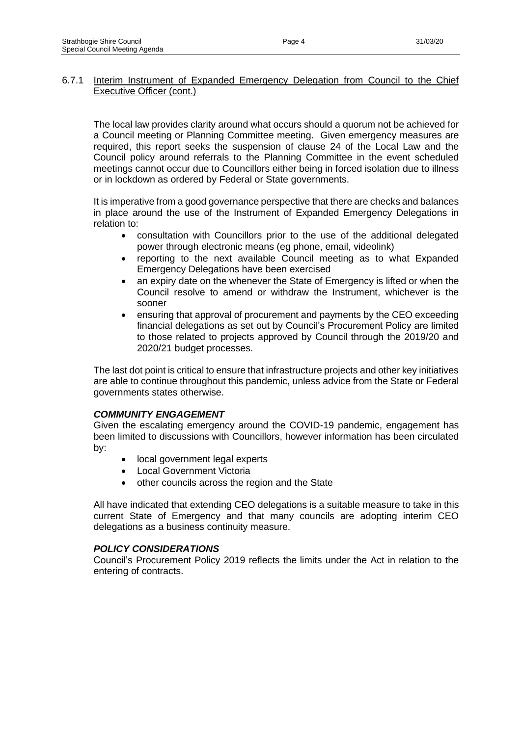The local law provides clarity around what occurs should a quorum not be achieved for a Council meeting or Planning Committee meeting. Given emergency measures are required, this report seeks the suspension of clause 24 of the Local Law and the Council policy around referrals to the Planning Committee in the event scheduled meetings cannot occur due to Councillors either being in forced isolation due to illness or in lockdown as ordered by Federal or State governments.

It is imperative from a good governance perspective that there are checks and balances in place around the use of the Instrument of Expanded Emergency Delegations in relation to:

- consultation with Councillors prior to the use of the additional delegated power through electronic means (eg phone, email, videolink)
- reporting to the next available Council meeting as to what Expanded Emergency Delegations have been exercised
- an expiry date on the whenever the State of Emergency is lifted or when the Council resolve to amend or withdraw the Instrument, whichever is the sooner
- ensuring that approval of procurement and payments by the CEO exceeding financial delegations as set out by Council's Procurement Policy are limited to those related to projects approved by Council through the 2019/20 and 2020/21 budget processes.

The last dot point is critical to ensure that infrastructure projects and other key initiatives are able to continue throughout this pandemic, unless advice from the State or Federal governments states otherwise.

### *COMMUNITY ENGAGEMENT*

Given the escalating emergency around the COVID-19 pandemic, engagement has been limited to discussions with Councillors, however information has been circulated by:

- local government legal experts
- Local Government Victoria
- other councils across the region and the State

All have indicated that extending CEO delegations is a suitable measure to take in this current State of Emergency and that many councils are adopting interim CEO delegations as a business continuity measure.

### *POLICY CONSIDERATIONS*

Council's Procurement Policy 2019 reflects the limits under the Act in relation to the entering of contracts.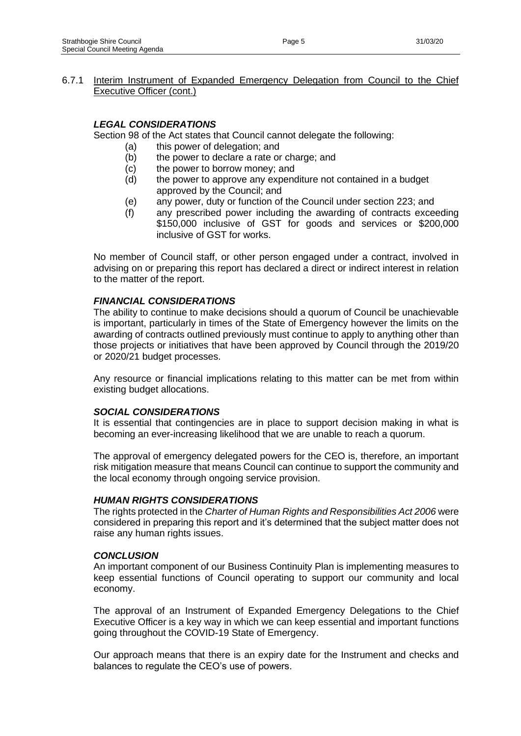## *LEGAL CONSIDERATIONS*

Section 98 of the Act states that Council cannot delegate the following:

- (a) this power of delegation; and
	- (b) the power to declare a rate or charge; and
	- (c) the power to borrow money; and
	- (d) the power to approve any expenditure not contained in a budget approved by the Council; and
	- (e) any power, duty or function of the Council under section 223; and
	- (f) any prescribed power including the awarding of contracts exceeding \$150,000 inclusive of GST for goods and services or \$200,000 inclusive of GST for works.

No member of Council staff, or other person engaged under a contract, involved in advising on or preparing this report has declared a direct or indirect interest in relation to the matter of the report.

### *FINANCIAL CONSIDERATIONS*

The ability to continue to make decisions should a quorum of Council be unachievable is important, particularly in times of the State of Emergency however the limits on the awarding of contracts outlined previously must continue to apply to anything other than those projects or initiatives that have been approved by Council through the 2019/20 or 2020/21 budget processes.

Any resource or financial implications relating to this matter can be met from within existing budget allocations.

### *SOCIAL CONSIDERATIONS*

It is essential that contingencies are in place to support decision making in what is becoming an ever-increasing likelihood that we are unable to reach a quorum.

The approval of emergency delegated powers for the CEO is, therefore, an important risk mitigation measure that means Council can continue to support the community and the local economy through ongoing service provision.

#### *HUMAN RIGHTS CONSIDERATIONS*

The rights protected in the *Charter of Human Rights and Responsibilities Act 2006* were considered in preparing this report and it's determined that the subject matter does not raise any human rights issues.

#### *CONCLUSION*

An important component of our Business Continuity Plan is implementing measures to keep essential functions of Council operating to support our community and local economy.

The approval of an Instrument of Expanded Emergency Delegations to the Chief Executive Officer is a key way in which we can keep essential and important functions going throughout the COVID-19 State of Emergency.

Our approach means that there is an expiry date for the Instrument and checks and balances to regulate the CEO's use of powers.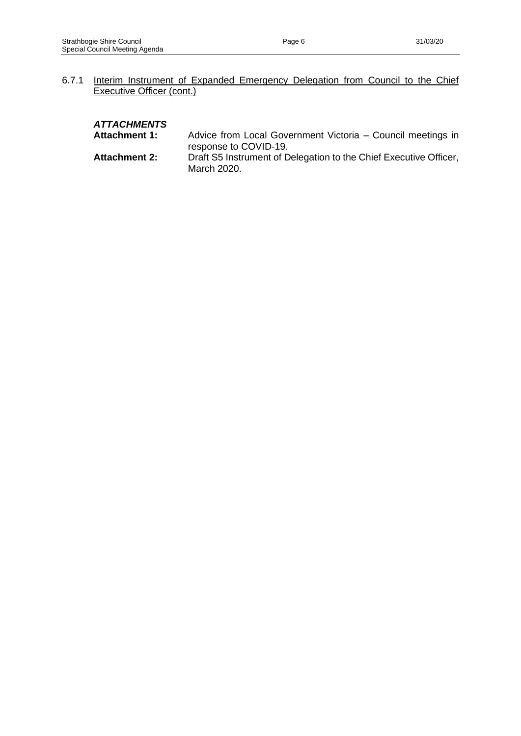#### *ATTACHMENTS*

- **Attachment 1:** Advice from Local Government Victoria Council meetings in response to COVID-19.
- **Attachment 2:** Draft S5 Instrument of Delegation to the Chief Executive Officer, March 2020.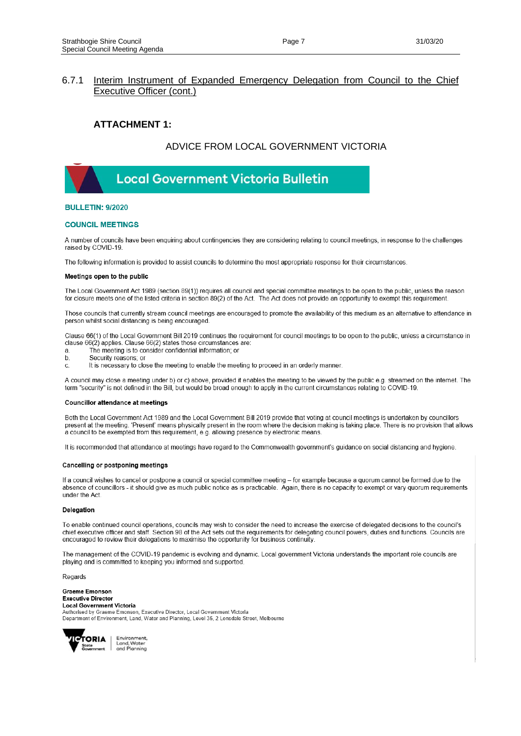#### **ATTACHMENT 1:**

#### ADVICE FROM LOCAL GOVERNMENT VICTORIA



#### **BULLETIN: 9/2020**

#### **COUNCIL MEETINGS**

A number of councils have been enquiring about contingencies they are considering relating to council meetings, in response to the challenges raised by COVID-19

The following information is provided to assist councils to determine the most appropriate response for their circumstances

#### Meetings open to the public

The Local Government Act 1989 (section 89(1)) requires all council and special committee meetings to be open to the public, unless the reason for closure meets one of the listed criteria in section 89(2) of the Act. The Act does not provide an opportunity to exempt this requirement.

Those councils that currently stream council meetings are encouraged to promote the availability of this medium as an alternative to attendance in person whilst social distancing is being encouraged.

Clause 66(1) of the Local Government Bill 2019 continues the requirement for council meetings to be open to the public, unless a circumstance in clause 66(2) applies. Clause 66(2) states those circumstances are:

- The meeting is to consider confidential information; or a
- Security reasons; or  $\mathbf b$
- It is necessary to close the meeting to enable the meeting to proceed in an orderly manner. C.

A council may close a meeting under b) or c) above, provided it enables the meeting to be viewed by the public e.g. streamed on the internet. The term "security" is not defined in the Bill, but would be broad enough to apply in the current circumstances relating to COVID-19.

#### **Councillor attendance at meetings**

Both the Local Government Act 1989 and the Local Government Bill 2019 provide that voting at council meetings is undertaken by councillors present at the meeting. 'Present' means physically present in the room where the decision making is taking place. There is no provision that allows a council to be exempted from this requirement, e.g. allowing presence by electronic means.

It is recommended that attendance at meetings have regard to the Commonwealth government's guidance on social distancing and hygiene.

#### Cancelling or postponing meetings

If a council wishes to cancel or postpone a council or special committee meeting - for example because a quorum cannot be formed due to the absence of councillors - it should give as much public notice as is practicable. Again, there is no capacity to exempt or vary quorum requirements under the Act

#### Delegation

To enable continued council operations, councils may wish to consider the need to increase the exercise of delegated decisions to the council's chief executive officer and staff. Section 98 of the Act sets out the requirements for delegating council powers, duties and functions. Councils are encouraged to review their delegations to maximise the opportunity for business continuity.

The management of the COVID-19 pandemic is evolving and dynamic. Local government Victoria understands the important role councils are playing and is committed to keeping you informed and supported

Regards

**Graeme Emonson Executive Director Local Government Victoria** Authorised by Graeme Emonson, Executive Director, Local Government Victoria Department of Environment, Land, Water and Planning, Level 35, 2 Lonsdale Street, Melbourne

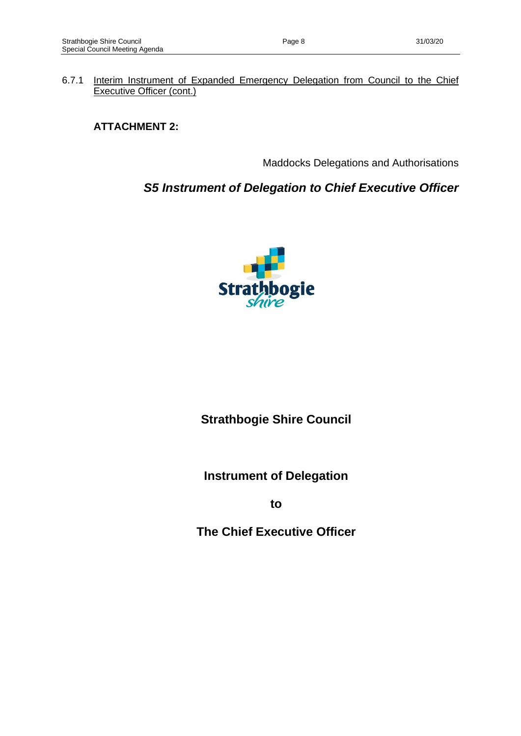# **ATTACHMENT 2:**

Maddocks Delegations and Authorisations

# *S5 Instrument of Delegation to Chief Executive Officer*



# **Strathbogie Shire Council**

**Instrument of Delegation**

**to**

**The Chief Executive Officer**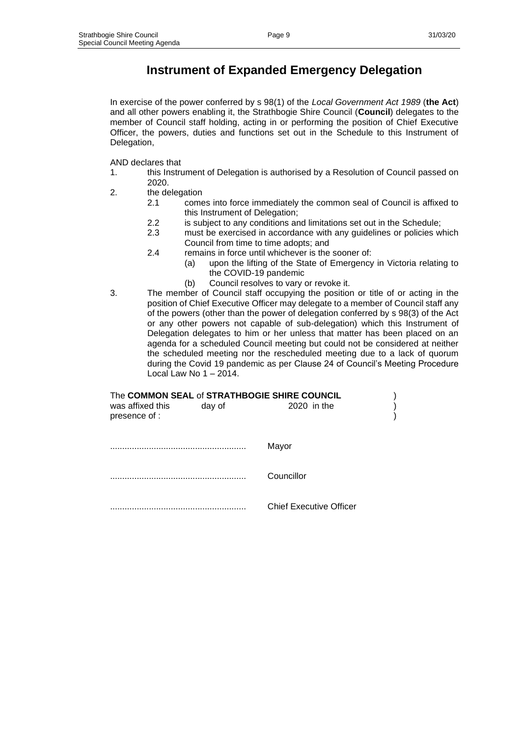# **Instrument of Expanded Emergency Delegation**

In exercise of the power conferred by s 98(1) of the *Local Government Act 1989* (**the Act**) and all other powers enabling it, the Strathbogie Shire Council (**Council**) delegates to the member of Council staff holding, acting in or performing the position of Chief Executive Officer, the powers, duties and functions set out in the Schedule to this Instrument of Delegation,

AND declares that

- 1. this Instrument of Delegation is authorised by a Resolution of Council passed on 2020.
- 2. the delegation
	- 2.1 comes into force immediately the common seal of Council is affixed to this Instrument of Delegation;
	- 2.2 is subject to any conditions and limitations set out in the Schedule;
	- 2.3 must be exercised in accordance with any guidelines or policies which Council from time to time adopts; and
	- 2.4 remains in force until whichever is the sooner of:
		- (a) upon the lifting of the State of Emergency in Victoria relating to the COVID-19 pandemic
		- (b) Council resolves to vary or revoke it.
- 3. The member of Council staff occupying the position or title of or acting in the position of Chief Executive Officer may delegate to a member of Council staff any of the powers (other than the power of delegation conferred by s 98(3) of the Act or any other powers not capable of sub-delegation) which this Instrument of Delegation delegates to him or her unless that matter has been placed on an agenda for a scheduled Council meeting but could not be considered at neither the scheduled meeting nor the rescheduled meeting due to a lack of quorum during the Covid 19 pandemic as per Clause 24 of Council's Meeting Procedure Local Law No 1 – 2014.

| was affixed this<br>presence of : | day of | The COMMON SEAL of STRATHBOGIE SHIRE COUNCIL<br>2020 in the |  |
|-----------------------------------|--------|-------------------------------------------------------------|--|
|                                   |        | Mayor                                                       |  |

........................................................ Councillor

........................................................ Chief Executive Officer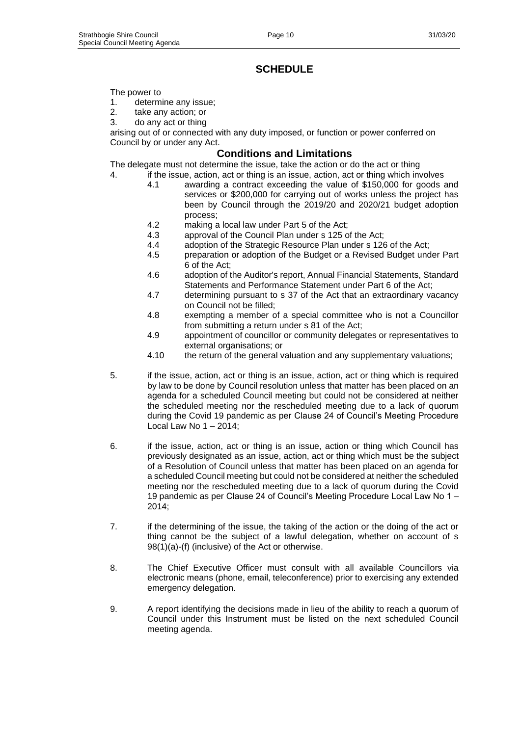# **SCHEDULE**

#### The power to

- 1. determine any issue;
- 2. take any action; or
- 3. do any act or thing

arising out of or connected with any duty imposed, or function or power conferred on Council by or under any Act.

#### **Conditions and Limitations**

The delegate must not determine the issue, take the action or do the act or thing

- 4. if the issue, action, act or thing is an issue, action, act or thing which involves 4.1 awarding a contract exceeding the value of \$150,000 for goods and services or \$200,000 for carrying out of works unless the project has been by Council through the 2019/20 and 2020/21 budget adoption process;
	- 4.2 making a local law under Part 5 of the Act;
	- 4.3 approval of the Council Plan under s 125 of the Act;
	- 4.4 adoption of the Strategic Resource Plan under s 126 of the Act;
	- 4.5 preparation or adoption of the Budget or a Revised Budget under Part 6 of the Act;
	- 4.6 adoption of the Auditor's report, Annual Financial Statements, Standard Statements and Performance Statement under Part 6 of the Act;
	- 4.7 determining pursuant to s 37 of the Act that an extraordinary vacancy on Council not be filled;
	- 4.8 exempting a member of a special committee who is not a Councillor from submitting a return under s 81 of the Act;
	- 4.9 appointment of councillor or community delegates or representatives to external organisations; or
	- 4.10 the return of the general valuation and any supplementary valuations;
- 5. if the issue, action, act or thing is an issue, action, act or thing which is required by law to be done by Council resolution unless that matter has been placed on an agenda for a scheduled Council meeting but could not be considered at neither the scheduled meeting nor the rescheduled meeting due to a lack of quorum during the Covid 19 pandemic as per Clause 24 of Council's Meeting Procedure Local Law No 1 – 2014;
- 6. if the issue, action, act or thing is an issue, action or thing which Council has previously designated as an issue, action, act or thing which must be the subject of a Resolution of Council unless that matter has been placed on an agenda for a scheduled Council meeting but could not be considered at neither the scheduled meeting nor the rescheduled meeting due to a lack of quorum during the Covid 19 pandemic as per Clause 24 of Council's Meeting Procedure Local Law No 1 – 2014;
- 7. if the determining of the issue, the taking of the action or the doing of the act or thing cannot be the subject of a lawful delegation, whether on account of s 98(1)(a)-(f) (inclusive) of the Act or otherwise.
- 8. The Chief Executive Officer must consult with all available Councillors via electronic means (phone, email, teleconference) prior to exercising any extended emergency delegation.
- 9. A report identifying the decisions made in lieu of the ability to reach a quorum of Council under this Instrument must be listed on the next scheduled Council meeting agenda.